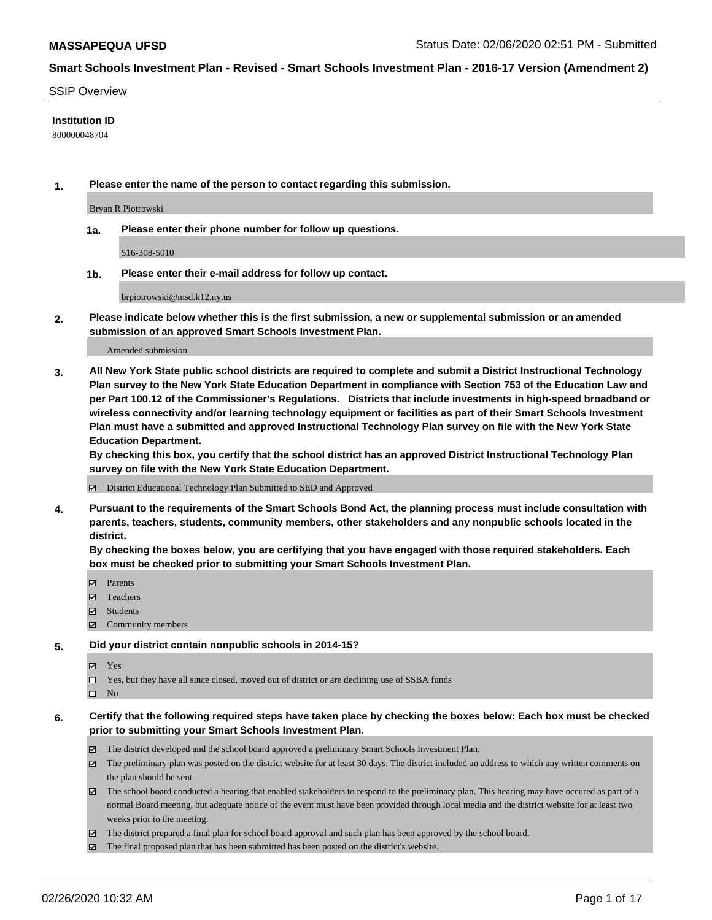#### SSIP Overview

#### **Institution ID**

800000048704

**1. Please enter the name of the person to contact regarding this submission.**

Bryan R Piotrowski

**1a. Please enter their phone number for follow up questions.**

516-308-5010

**1b. Please enter their e-mail address for follow up contact.**

brpiotrowski@msd.k12.ny.us

**2. Please indicate below whether this is the first submission, a new or supplemental submission or an amended submission of an approved Smart Schools Investment Plan.**

#### Amended submission

**3. All New York State public school districts are required to complete and submit a District Instructional Technology Plan survey to the New York State Education Department in compliance with Section 753 of the Education Law and per Part 100.12 of the Commissioner's Regulations. Districts that include investments in high-speed broadband or wireless connectivity and/or learning technology equipment or facilities as part of their Smart Schools Investment Plan must have a submitted and approved Instructional Technology Plan survey on file with the New York State Education Department.** 

**By checking this box, you certify that the school district has an approved District Instructional Technology Plan survey on file with the New York State Education Department.**

District Educational Technology Plan Submitted to SED and Approved

**4. Pursuant to the requirements of the Smart Schools Bond Act, the planning process must include consultation with parents, teachers, students, community members, other stakeholders and any nonpublic schools located in the district.** 

**By checking the boxes below, you are certifying that you have engaged with those required stakeholders. Each box must be checked prior to submitting your Smart Schools Investment Plan.**

- **マ** Parents
- Teachers
- Students
- Community members

#### **5. Did your district contain nonpublic schools in 2014-15?**

**冈** Yes

Yes, but they have all since closed, moved out of district or are declining use of SSBA funds

 $\square$  No

- **6. Certify that the following required steps have taken place by checking the boxes below: Each box must be checked prior to submitting your Smart Schools Investment Plan.**
	- The district developed and the school board approved a preliminary Smart Schools Investment Plan.
	- $\boxtimes$  The preliminary plan was posted on the district website for at least 30 days. The district included an address to which any written comments on the plan should be sent.
	- $\boxtimes$  The school board conducted a hearing that enabled stakeholders to respond to the preliminary plan. This hearing may have occured as part of a normal Board meeting, but adequate notice of the event must have been provided through local media and the district website for at least two weeks prior to the meeting.
	- The district prepared a final plan for school board approval and such plan has been approved by the school board.
	- The final proposed plan that has been submitted has been posted on the district's website.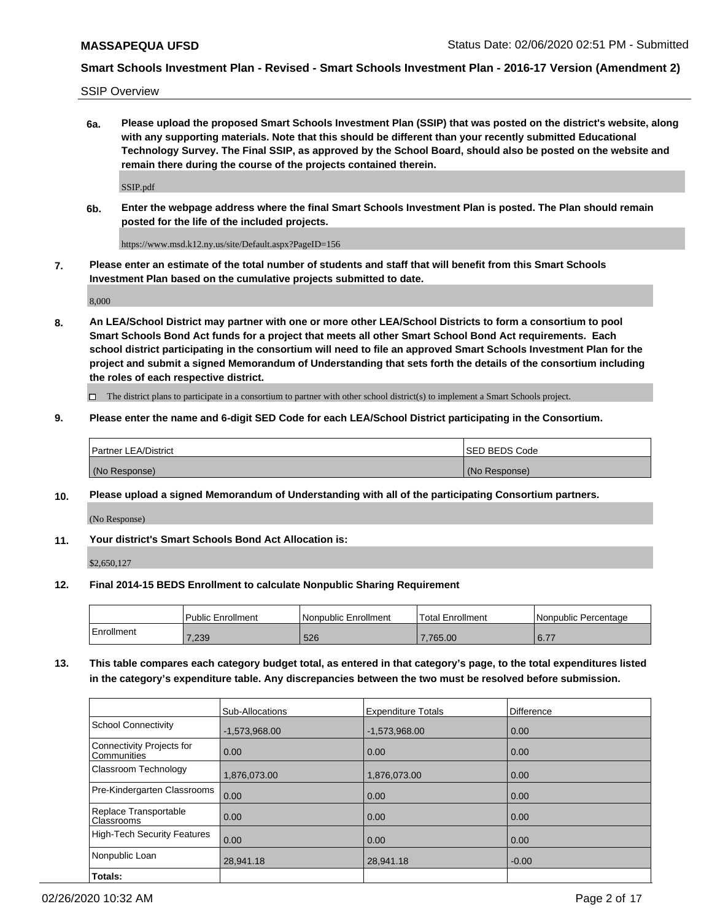SSIP Overview

**6a. Please upload the proposed Smart Schools Investment Plan (SSIP) that was posted on the district's website, along with any supporting materials. Note that this should be different than your recently submitted Educational Technology Survey. The Final SSIP, as approved by the School Board, should also be posted on the website and remain there during the course of the projects contained therein.**

SSIP.pdf

**6b. Enter the webpage address where the final Smart Schools Investment Plan is posted. The Plan should remain posted for the life of the included projects.**

https://www.msd.k12.ny.us/site/Default.aspx?PageID=156

**7. Please enter an estimate of the total number of students and staff that will benefit from this Smart Schools Investment Plan based on the cumulative projects submitted to date.**

8,000

**8. An LEA/School District may partner with one or more other LEA/School Districts to form a consortium to pool Smart Schools Bond Act funds for a project that meets all other Smart School Bond Act requirements. Each school district participating in the consortium will need to file an approved Smart Schools Investment Plan for the project and submit a signed Memorandum of Understanding that sets forth the details of the consortium including the roles of each respective district.**

 $\Box$  The district plans to participate in a consortium to partner with other school district(s) to implement a Smart Schools project.

### **9. Please enter the name and 6-digit SED Code for each LEA/School District participating in the Consortium.**

| Partner LEA/District | <b>ISED BEDS Code</b> |
|----------------------|-----------------------|
| (No Response)        | (No Response)         |

### **10. Please upload a signed Memorandum of Understanding with all of the participating Consortium partners.**

(No Response)

**11. Your district's Smart Schools Bond Act Allocation is:**

\$2,650,127

#### **12. Final 2014-15 BEDS Enrollment to calculate Nonpublic Sharing Requirement**

|            | Public Enrollment | Nonpublic Enrollment | Total Enrollment | l Nonpublic Percentage |
|------------|-------------------|----------------------|------------------|------------------------|
| Enrollment | 7,239             | 526                  | 765.00           | $\sim$ $\rightarrow$   |

**13. This table compares each category budget total, as entered in that category's page, to the total expenditures listed in the category's expenditure table. Any discrepancies between the two must be resolved before submission.**

|                                          | Sub-Allocations | <b>Expenditure Totals</b> | Difference |
|------------------------------------------|-----------------|---------------------------|------------|
| <b>School Connectivity</b>               | $-1,573,968.00$ | $-1,573,968.00$           | 0.00       |
| Connectivity Projects for<br>Communities | 0.00            | 0.00                      | 0.00       |
| Classroom Technology                     | 1,876,073.00    | 1,876,073.00              | 0.00       |
| Pre-Kindergarten Classrooms              | 0.00            | 0.00                      | 0.00       |
| Replace Transportable<br>Classrooms      | 0.00            | 0.00                      | 0.00       |
| <b>High-Tech Security Features</b>       | 0.00            | 0.00                      | 0.00       |
| Nonpublic Loan                           | 28,941.18       | 28,941.18                 | $-0.00$    |
| Totals:                                  |                 |                           |            |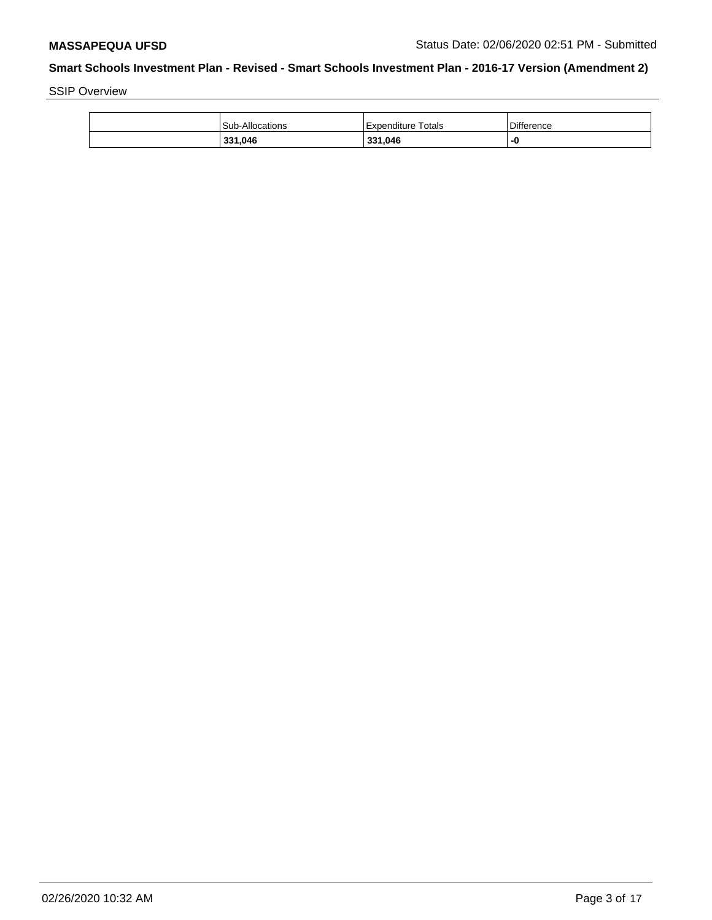SSIP Overview

| 331,046         | 331,046                   |            |
|-----------------|---------------------------|------------|
| Sub-Allocations | <b>Expenditure Totals</b> | Difference |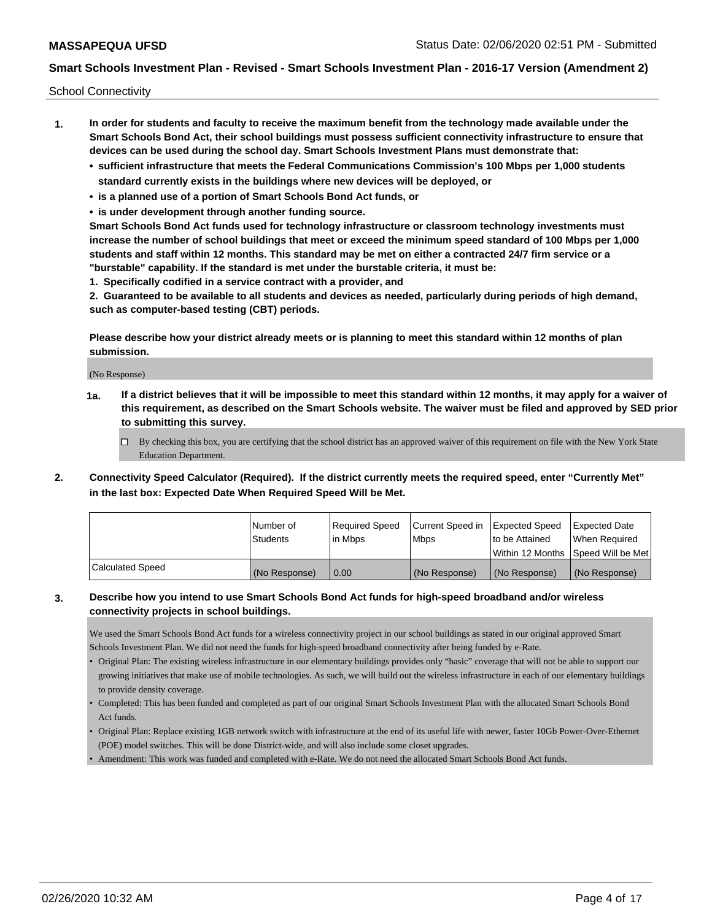School Connectivity

- **1. In order for students and faculty to receive the maximum benefit from the technology made available under the Smart Schools Bond Act, their school buildings must possess sufficient connectivity infrastructure to ensure that devices can be used during the school day. Smart Schools Investment Plans must demonstrate that:**
	- **• sufficient infrastructure that meets the Federal Communications Commission's 100 Mbps per 1,000 students standard currently exists in the buildings where new devices will be deployed, or**
	- **• is a planned use of a portion of Smart Schools Bond Act funds, or**
	- **• is under development through another funding source.**

**Smart Schools Bond Act funds used for technology infrastructure or classroom technology investments must increase the number of school buildings that meet or exceed the minimum speed standard of 100 Mbps per 1,000 students and staff within 12 months. This standard may be met on either a contracted 24/7 firm service or a "burstable" capability. If the standard is met under the burstable criteria, it must be:**

**1. Specifically codified in a service contract with a provider, and**

**2. Guaranteed to be available to all students and devices as needed, particularly during periods of high demand, such as computer-based testing (CBT) periods.**

**Please describe how your district already meets or is planning to meet this standard within 12 months of plan submission.**

(No Response)

**1a. If a district believes that it will be impossible to meet this standard within 12 months, it may apply for a waiver of this requirement, as described on the Smart Schools website. The waiver must be filed and approved by SED prior to submitting this survey.**

 $\Box$  By checking this box, you are certifying that the school district has an approved waiver of this requirement on file with the New York State Education Department.

**2. Connectivity Speed Calculator (Required). If the district currently meets the required speed, enter "Currently Met" in the last box: Expected Date When Required Speed Will be Met.**

|                  | l Number of     | Required Speed | Current Speed in | Expected Speed  | Expected Date                        |
|------------------|-----------------|----------------|------------------|-----------------|--------------------------------------|
|                  | <b>Students</b> | lin Mbps       | l Mbps           | Ito be Attained | When Required                        |
|                  |                 |                |                  |                 | Within 12 Months   Speed Will be Met |
| Calculated Speed | (No Response)   | 0.00           | (No Response)    | l (No Response) | (No Response)                        |

### **3. Describe how you intend to use Smart Schools Bond Act funds for high-speed broadband and/or wireless connectivity projects in school buildings.**

We used the Smart Schools Bond Act funds for a wireless connectivity project in our school buildings as stated in our original approved Smart Schools Investment Plan. We did not need the funds for high-speed broadband connectivity after being funded by e-Rate.

- Original Plan: The existing wireless infrastructure in our elementary buildings provides only "basic" coverage that will not be able to support our growing initiatives that make use of mobile technologies. As such, we will build out the wireless infrastructure in each of our elementary buildings to provide density coverage.
- Completed: This has been funded and completed as part of our original Smart Schools Investment Plan with the allocated Smart Schools Bond Act funds.
- Original Plan: Replace existing 1GB network switch with infrastructure at the end of its useful life with newer, faster 10Gb Power-Over-Ethernet (POE) model switches. This will be done District-wide, and will also include some closet upgrades.
- Amendment: This work was funded and completed with e-Rate. We do not need the allocated Smart Schools Bond Act funds.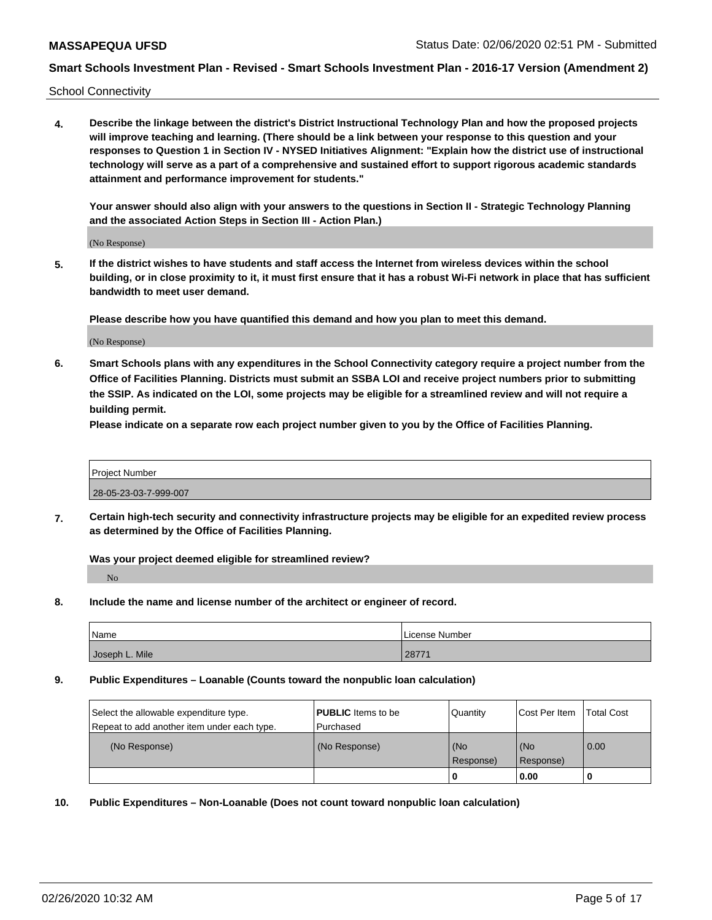School Connectivity

**4. Describe the linkage between the district's District Instructional Technology Plan and how the proposed projects will improve teaching and learning. (There should be a link between your response to this question and your responses to Question 1 in Section IV - NYSED Initiatives Alignment: "Explain how the district use of instructional technology will serve as a part of a comprehensive and sustained effort to support rigorous academic standards attainment and performance improvement for students."** 

**Your answer should also align with your answers to the questions in Section II - Strategic Technology Planning and the associated Action Steps in Section III - Action Plan.)**

(No Response)

**5. If the district wishes to have students and staff access the Internet from wireless devices within the school building, or in close proximity to it, it must first ensure that it has a robust Wi-Fi network in place that has sufficient bandwidth to meet user demand.**

**Please describe how you have quantified this demand and how you plan to meet this demand.**

(No Response)

**6. Smart Schools plans with any expenditures in the School Connectivity category require a project number from the Office of Facilities Planning. Districts must submit an SSBA LOI and receive project numbers prior to submitting the SSIP. As indicated on the LOI, some projects may be eligible for a streamlined review and will not require a building permit.**

**Please indicate on a separate row each project number given to you by the Office of Facilities Planning.**

| <b>Project Number</b> |  |
|-----------------------|--|
| 28-05-23-03-7-999-007 |  |

**7. Certain high-tech security and connectivity infrastructure projects may be eligible for an expedited review process as determined by the Office of Facilities Planning.**

**Was your project deemed eligible for streamlined review?** No

**8. Include the name and license number of the architect or engineer of record.**

| <b>Name</b>    | License Number |
|----------------|----------------|
| Joseph L. Mile | 2877           |

**9. Public Expenditures – Loanable (Counts toward the nonpublic loan calculation)**

| Select the allowable expenditure type.      | <b>PUBLIC</b> Items to be | Quantity             | Cost Per Item    | <b>Total Cost</b> |
|---------------------------------------------|---------------------------|----------------------|------------------|-------------------|
| Repeat to add another item under each type. | l Purchased               |                      |                  |                   |
| (No Response)                               | (No Response)             | l (No<br>l Response) | (No<br>Response) | $\overline{0.00}$ |
|                                             |                           |                      | 0.00             |                   |

**10. Public Expenditures – Non-Loanable (Does not count toward nonpublic loan calculation)**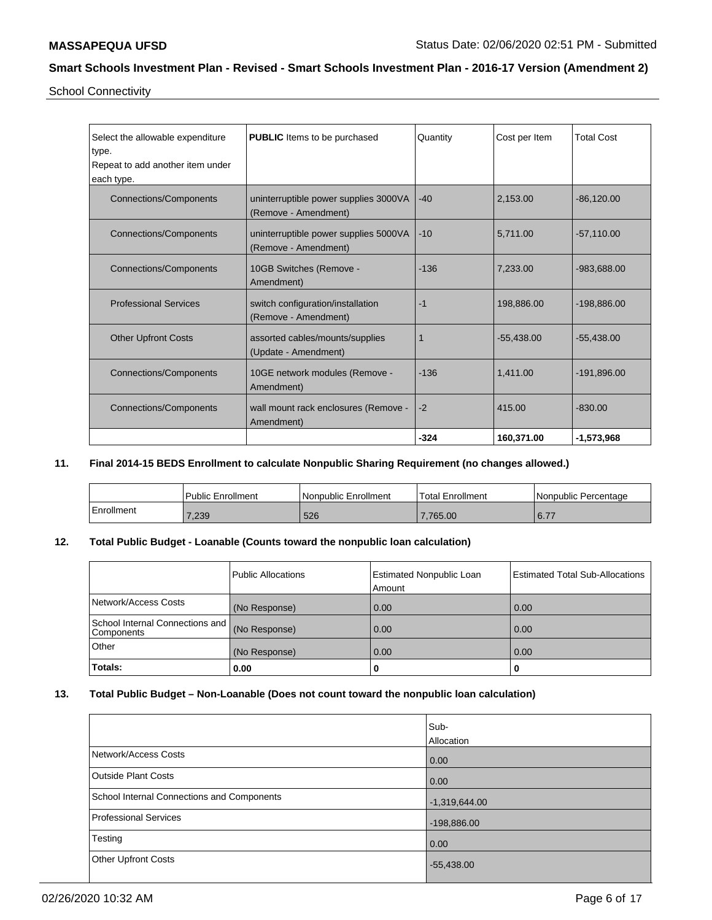School Connectivity

| Select the allowable expenditure<br>type. | <b>PUBLIC</b> Items to be purchased                           | Quantity | Cost per Item | <b>Total Cost</b> |
|-------------------------------------------|---------------------------------------------------------------|----------|---------------|-------------------|
| Repeat to add another item under          |                                                               |          |               |                   |
| each type.                                |                                                               |          |               |                   |
| <b>Connections/Components</b>             | uninterruptible power supplies 3000VA<br>(Remove - Amendment) | $-40$    | 2,153.00      | $-86,120.00$      |
| Connections/Components                    | uninterruptible power supplies 5000VA<br>(Remove - Amendment) | $-10$    | 5.711.00      | $-57,110.00$      |
| <b>Connections/Components</b>             | 10GB Switches (Remove -<br>Amendment)                         | $-136$   | 7.233.00      | -983.688.00       |
| <b>Professional Services</b>              | switch configuration/installation<br>(Remove - Amendment)     | $-1$     | 198,886.00    | -198,886.00       |
| <b>Other Upfront Costs</b>                | assorted cables/mounts/supplies<br>(Update - Amendment)       |          | $-55,438.00$  | $-55,438.00$      |
| Connections/Components                    | 10GE network modules (Remove -<br>Amendment)                  | $-136$   | 1.411.00      | -191,896.00       |
| Connections/Components                    | wall mount rack enclosures (Remove -<br>Amendment)            | $-2$     | 415.00        | $-830.00$         |
|                                           |                                                               | $-324$   | 160,371.00    | $-1,573,968$      |

### **11. Final 2014-15 BEDS Enrollment to calculate Nonpublic Sharing Requirement (no changes allowed.)**

|            | <b>Public Enrollment</b> | Nonpublic Enrollment | Total Enrollment | l Nonpublic Percentage |
|------------|--------------------------|----------------------|------------------|------------------------|
| Enrollment | 7,239                    | 526                  | .765.00          | $C = 77$<br>$-0.1$ .   |

### **12. Total Public Budget - Loanable (Counts toward the nonpublic loan calculation)**

|                                                 | Public Allocations | <b>Estimated Nonpublic Loan</b><br>Amount | <b>Estimated Total Sub-Allocations</b> |
|-------------------------------------------------|--------------------|-------------------------------------------|----------------------------------------|
| Network/Access Costs                            | (No Response)      | 0.00                                      | 0.00                                   |
| School Internal Connections and  <br>Components | (No Response)      | 0.00                                      | 0.00                                   |
| Other                                           | (No Response)      | 0.00                                      | 0.00                                   |
| Totals:                                         | 0.00               | U                                         | υ                                      |

# **13. Total Public Budget – Non-Loanable (Does not count toward the nonpublic loan calculation)**

|                                            | Sub-            |
|--------------------------------------------|-----------------|
|                                            | Allocation      |
| Network/Access Costs                       | 0.00            |
| <b>Outside Plant Costs</b>                 | 0.00            |
| School Internal Connections and Components | $-1,319,644.00$ |
| Professional Services                      | $-198,886.00$   |
| Testing                                    | 0.00            |
| <b>Other Upfront Costs</b>                 | $-55,438.00$    |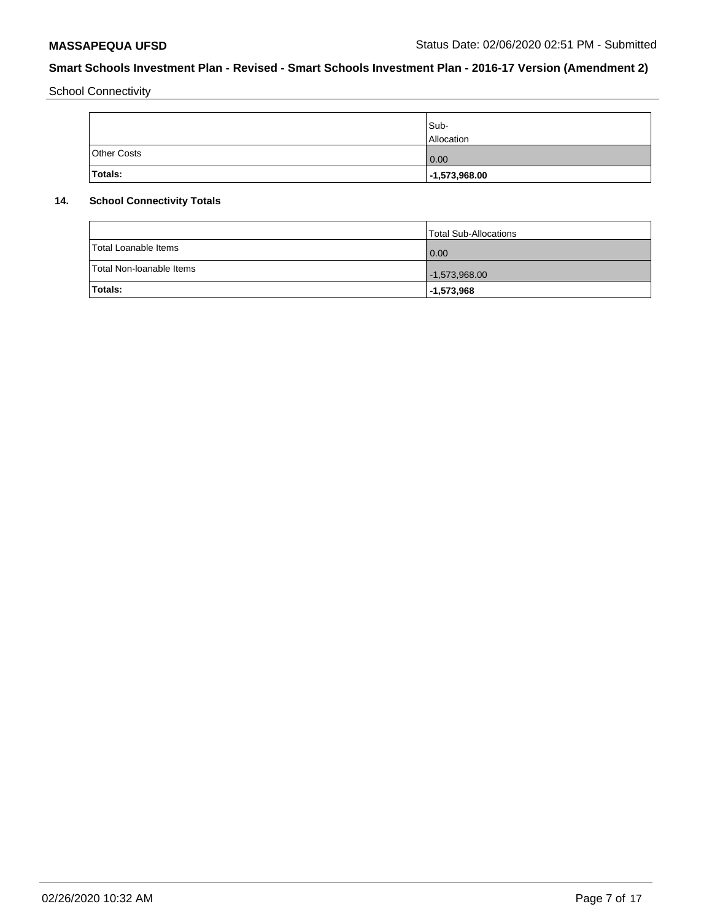School Connectivity

|                    | Sub-<br>Allocation |
|--------------------|--------------------|
| <b>Other Costs</b> | 0.00               |
| Totals:            | $-1,573,968.00$    |

# **14. School Connectivity Totals**

|                          | Total Sub-Allocations |
|--------------------------|-----------------------|
| Total Loanable Items     | 0.00                  |
| Total Non-Ioanable Items | $-1,573,968.00$       |
| <b>Totals:</b>           | $ -1,573,968$         |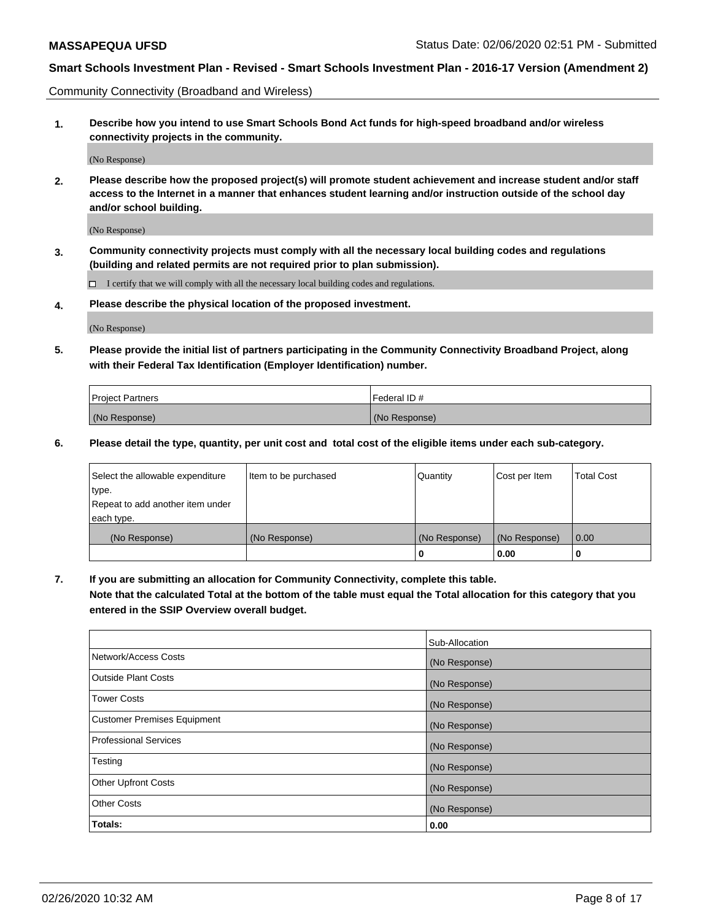Community Connectivity (Broadband and Wireless)

**1. Describe how you intend to use Smart Schools Bond Act funds for high-speed broadband and/or wireless connectivity projects in the community.**

(No Response)

**2. Please describe how the proposed project(s) will promote student achievement and increase student and/or staff access to the Internet in a manner that enhances student learning and/or instruction outside of the school day and/or school building.**

(No Response)

**3. Community connectivity projects must comply with all the necessary local building codes and regulations (building and related permits are not required prior to plan submission).**

 $\Box$  I certify that we will comply with all the necessary local building codes and regulations.

**4. Please describe the physical location of the proposed investment.**

(No Response)

**5. Please provide the initial list of partners participating in the Community Connectivity Broadband Project, along with their Federal Tax Identification (Employer Identification) number.**

| <b>Project Partners</b> | l Federal ID # |
|-------------------------|----------------|
| (No Response)           | (No Response)  |

**6. Please detail the type, quantity, per unit cost and total cost of the eligible items under each sub-category.**

| Select the allowable expenditure | Item to be purchased | Quantity      | Cost per Item | <b>Total Cost</b> |
|----------------------------------|----------------------|---------------|---------------|-------------------|
| type.                            |                      |               |               |                   |
| Repeat to add another item under |                      |               |               |                   |
| each type.                       |                      |               |               |                   |
| (No Response)                    | (No Response)        | (No Response) | (No Response) | 0.00              |
|                                  |                      | U             | 0.00          |                   |

**7. If you are submitting an allocation for Community Connectivity, complete this table.**

**Note that the calculated Total at the bottom of the table must equal the Total allocation for this category that you entered in the SSIP Overview overall budget.**

|                                    | Sub-Allocation |
|------------------------------------|----------------|
| Network/Access Costs               | (No Response)  |
| Outside Plant Costs                | (No Response)  |
| <b>Tower Costs</b>                 | (No Response)  |
| <b>Customer Premises Equipment</b> | (No Response)  |
| <b>Professional Services</b>       | (No Response)  |
| Testing                            | (No Response)  |
| <b>Other Upfront Costs</b>         | (No Response)  |
| <b>Other Costs</b>                 | (No Response)  |
| Totals:                            | 0.00           |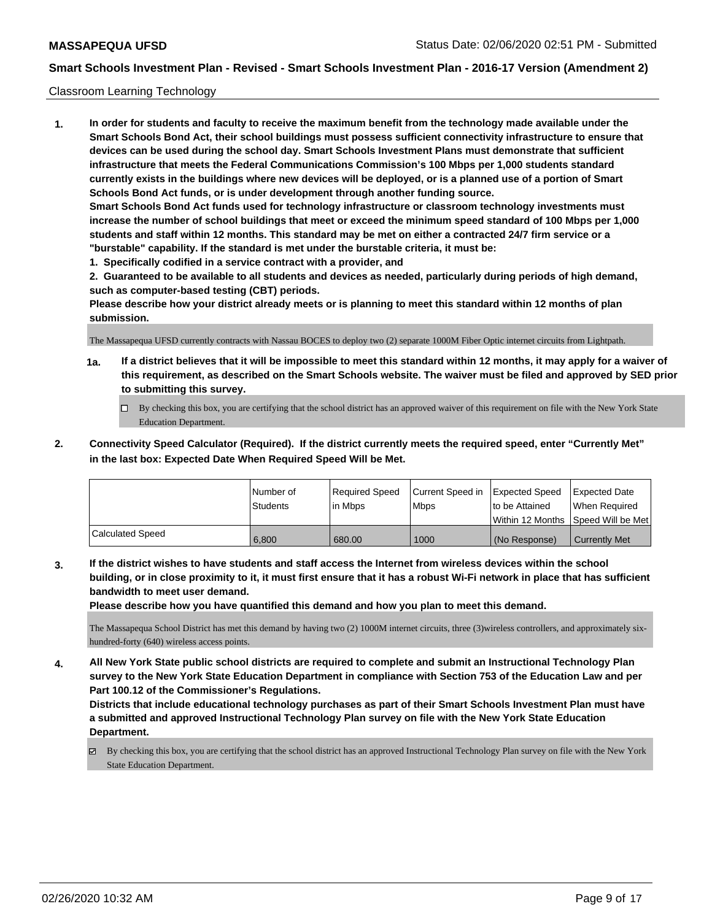### Classroom Learning Technology

**1. In order for students and faculty to receive the maximum benefit from the technology made available under the Smart Schools Bond Act, their school buildings must possess sufficient connectivity infrastructure to ensure that devices can be used during the school day. Smart Schools Investment Plans must demonstrate that sufficient infrastructure that meets the Federal Communications Commission's 100 Mbps per 1,000 students standard currently exists in the buildings where new devices will be deployed, or is a planned use of a portion of Smart Schools Bond Act funds, or is under development through another funding source. Smart Schools Bond Act funds used for technology infrastructure or classroom technology investments must increase the number of school buildings that meet or exceed the minimum speed standard of 100 Mbps per 1,000 students and staff within 12 months. This standard may be met on either a contracted 24/7 firm service or a "burstable" capability. If the standard is met under the burstable criteria, it must be:**

**1. Specifically codified in a service contract with a provider, and**

**2. Guaranteed to be available to all students and devices as needed, particularly during periods of high demand, such as computer-based testing (CBT) periods.**

**Please describe how your district already meets or is planning to meet this standard within 12 months of plan submission.**

The Massapequa UFSD currently contracts with Nassau BOCES to deploy two (2) separate 1000M Fiber Optic internet circuits from Lightpath.

- **1a. If a district believes that it will be impossible to meet this standard within 12 months, it may apply for a waiver of this requirement, as described on the Smart Schools website. The waiver must be filed and approved by SED prior to submitting this survey.**
	- By checking this box, you are certifying that the school district has an approved waiver of this requirement on file with the New York State Education Department.
- **2. Connectivity Speed Calculator (Required). If the district currently meets the required speed, enter "Currently Met" in the last box: Expected Date When Required Speed Will be Met.**

|                  | l Number of     | Required Speed | Current Speed in Expected Speed |                 | <b>Expected Date</b>                 |
|------------------|-----------------|----------------|---------------------------------|-----------------|--------------------------------------|
|                  | <b>Students</b> | lin Mbps       | <b>Mbps</b>                     | to be Attained  | When Required                        |
|                  |                 |                |                                 |                 | Within 12 Months 1Speed Will be Met1 |
| Calculated Speed | 6.800           | 680.00         | 1000                            | l (No Response) | <b>Currently Met</b>                 |

**3. If the district wishes to have students and staff access the Internet from wireless devices within the school building, or in close proximity to it, it must first ensure that it has a robust Wi-Fi network in place that has sufficient bandwidth to meet user demand.**

**Please describe how you have quantified this demand and how you plan to meet this demand.**

The Massapequa School District has met this demand by having two (2) 1000M internet circuits, three (3)wireless controllers, and approximately sixhundred-forty (640) wireless access points.

**4. All New York State public school districts are required to complete and submit an Instructional Technology Plan survey to the New York State Education Department in compliance with Section 753 of the Education Law and per Part 100.12 of the Commissioner's Regulations.**

**Districts that include educational technology purchases as part of their Smart Schools Investment Plan must have a submitted and approved Instructional Technology Plan survey on file with the New York State Education Department.**

 $\boxtimes$  By checking this box, you are certifying that the school district has an approved Instructional Technology Plan survey on file with the New York State Education Department.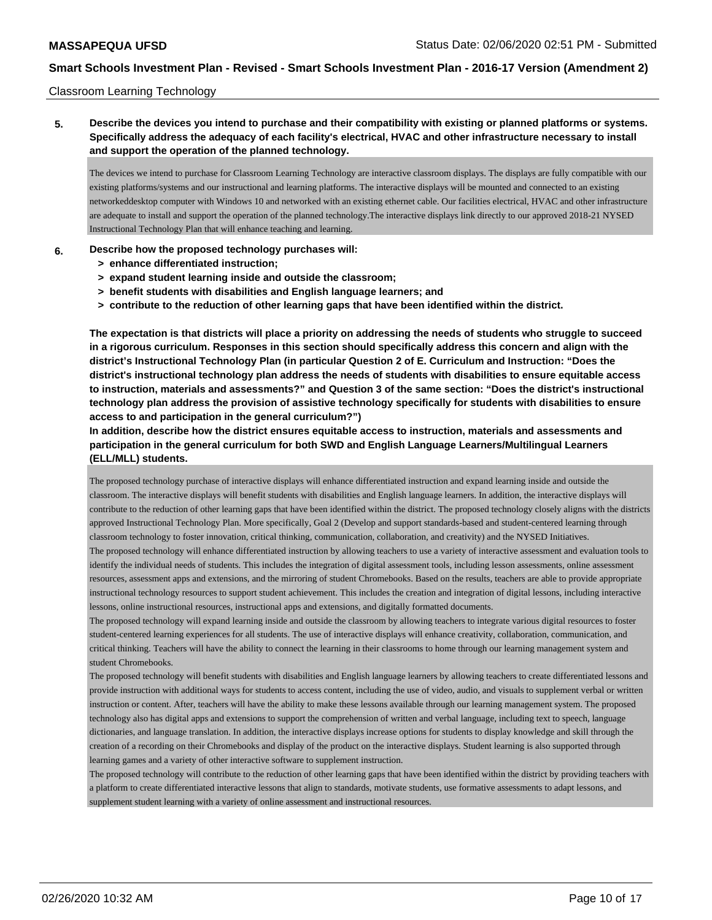#### Classroom Learning Technology

# **5. Describe the devices you intend to purchase and their compatibility with existing or planned platforms or systems. Specifically address the adequacy of each facility's electrical, HVAC and other infrastructure necessary to install and support the operation of the planned technology.**

The devices we intend to purchase for Classroom Learning Technology are interactive classroom displays. The displays are fully compatible with our existing platforms/systems and our instructional and learning platforms. The interactive displays will be mounted and connected to an existing networkeddesktop computer with Windows 10 and networked with an existing ethernet cable. Our facilities electrical, HVAC and other infrastructure are adequate to install and support the operation of the planned technology.The interactive displays link directly to our approved 2018-21 NYSED Instructional Technology Plan that will enhance teaching and learning.

#### **6. Describe how the proposed technology purchases will:**

- **> enhance differentiated instruction;**
- **> expand student learning inside and outside the classroom;**
- **> benefit students with disabilities and English language learners; and**
- **> contribute to the reduction of other learning gaps that have been identified within the district.**

**The expectation is that districts will place a priority on addressing the needs of students who struggle to succeed in a rigorous curriculum. Responses in this section should specifically address this concern and align with the district's Instructional Technology Plan (in particular Question 2 of E. Curriculum and Instruction: "Does the district's instructional technology plan address the needs of students with disabilities to ensure equitable access to instruction, materials and assessments?" and Question 3 of the same section: "Does the district's instructional technology plan address the provision of assistive technology specifically for students with disabilities to ensure access to and participation in the general curriculum?")**

**In addition, describe how the district ensures equitable access to instruction, materials and assessments and participation in the general curriculum for both SWD and English Language Learners/Multilingual Learners (ELL/MLL) students.**

The proposed technology purchase of interactive displays will enhance differentiated instruction and expand learning inside and outside the classroom. The interactive displays will benefit students with disabilities and English language learners. In addition, the interactive displays will contribute to the reduction of other learning gaps that have been identified within the district. The proposed technology closely aligns with the district s approved Instructional Technology Plan. More specifically, Goal 2 (Develop and support standards-based and student-centered learning through classroom technology to foster innovation, critical thinking, communication, collaboration, and creativity) and the NYSED Initiatives.

The proposed technology will enhance differentiated instruction by allowing teachers to use a variety of interactive assessment and evaluation tools to identify the individual needs of students. This includes the integration of digital assessment tools, including lesson assessments, online assessment resources, assessment apps and extensions, and the mirroring of student Chromebooks. Based on the results, teachers are able to provide appropriate instructional technology resources to support student achievement. This includes the creation and integration of digital lessons, including interactive lessons, online instructional resources, instructional apps and extensions, and digitally formatted documents.

The proposed technology will expand learning inside and outside the classroom by allowing teachers to integrate various digital resources to foster student-centered learning experiences for all students. The use of interactive displays will enhance creativity, collaboration, communication, and critical thinking. Teachers will have the ability to connect the learning in their classrooms to home through our learning management system and student Chromebooks.

The proposed technology will benefit students with disabilities and English language learners by allowing teachers to create differentiated lessons and provide instruction with additional ways for students to access content, including the use of video, audio, and visuals to supplement verbal or written instruction or content. After, teachers will have the ability to make these lessons available through our learning management system. The proposed technology also has digital apps and extensions to support the comprehension of written and verbal language, including text to speech, language dictionaries, and language translation. In addition, the interactive displays increase options for students to display knowledge and skill through the creation of a recording on their Chromebooks and display of the product on the interactive displays. Student learning is also supported through learning games and a variety of other interactive software to supplement instruction.

The proposed technology will contribute to the reduction of other learning gaps that have been identified within the district by providing teachers with a platform to create differentiated interactive lessons that align to standards, motivate students, use formative assessments to adapt lessons, and supplement student learning with a variety of online assessment and instructional resources.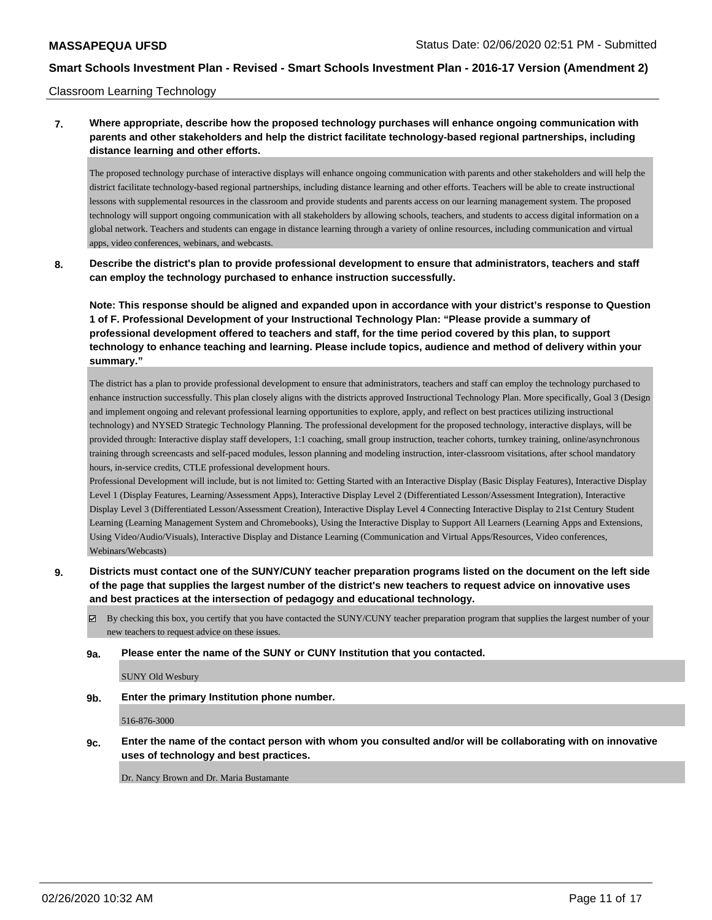### Classroom Learning Technology

**7. Where appropriate, describe how the proposed technology purchases will enhance ongoing communication with parents and other stakeholders and help the district facilitate technology-based regional partnerships, including distance learning and other efforts.**

The proposed technology purchase of interactive displays will enhance ongoing communication with parents and other stakeholders and will help the district facilitate technology-based regional partnerships, including distance learning and other efforts. Teachers will be able to create instructional lessons with supplemental resources in the classroom and provide students and parents access on our learning management system. The proposed technology will support ongoing communication with all stakeholders by allowing schools, teachers, and students to access digital information on a global network. Teachers and students can engage in distance learning through a variety of online resources, including communication and virtual apps, video conferences, webinars, and webcasts.

**8. Describe the district's plan to provide professional development to ensure that administrators, teachers and staff can employ the technology purchased to enhance instruction successfully.**

**Note: This response should be aligned and expanded upon in accordance with your district's response to Question 1 of F. Professional Development of your Instructional Technology Plan: "Please provide a summary of professional development offered to teachers and staff, for the time period covered by this plan, to support technology to enhance teaching and learning. Please include topics, audience and method of delivery within your summary."**

The district has a plan to provide professional development to ensure that administrators, teachers and staff can employ the technology purchased to enhance instruction successfully. This plan closely aligns with the districts approved Instructional Technology Plan. More specifically, Goal 3 (Design and implement ongoing and relevant professional learning opportunities to explore, apply, and reflect on best practices utilizing instructional technology) and NYSED Strategic Technology Planning. The professional development for the proposed technology, interactive displays, will be provided through: Interactive display staff developers, 1:1 coaching, small group instruction, teacher cohorts, turnkey training, online/asynchronous training through screencasts and self-paced modules, lesson planning and modeling instruction, inter-classroom visitations, after school mandatory hours, in-service credits, CTLE professional development hours.

Professional Development will include, but is not limited to: Getting Started with an Interactive Display (Basic Display Features), Interactive Display Level 1 (Display Features, Learning/Assessment Apps), Interactive Display Level 2 (Differentiated Lesson/Assessment Integration), Interactive Display Level 3 (Differentiated Lesson/Assessment Creation), Interactive Display Level 4 Connecting Interactive Display to 21st Century Student Learning (Learning Management System and Chromebooks), Using the Interactive Display to Support All Learners (Learning Apps and Extensions, Using Video/Audio/Visuals), Interactive Display and Distance Learning (Communication and Virtual Apps/Resources, Video conferences, Webinars/Webcasts)

**9. Districts must contact one of the SUNY/CUNY teacher preparation programs listed on the document on the left side of the page that supplies the largest number of the district's new teachers to request advice on innovative uses and best practices at the intersection of pedagogy and educational technology.**

By checking this box, you certify that you have contacted the SUNY/CUNY teacher preparation program that supplies the largest number of your new teachers to request advice on these issues.

#### **9a. Please enter the name of the SUNY or CUNY Institution that you contacted.**

SUNY Old Wesbury

**9b. Enter the primary Institution phone number.**

516-876-3000

**9c. Enter the name of the contact person with whom you consulted and/or will be collaborating with on innovative uses of technology and best practices.**

Dr. Nancy Brown and Dr. Maria Bustamante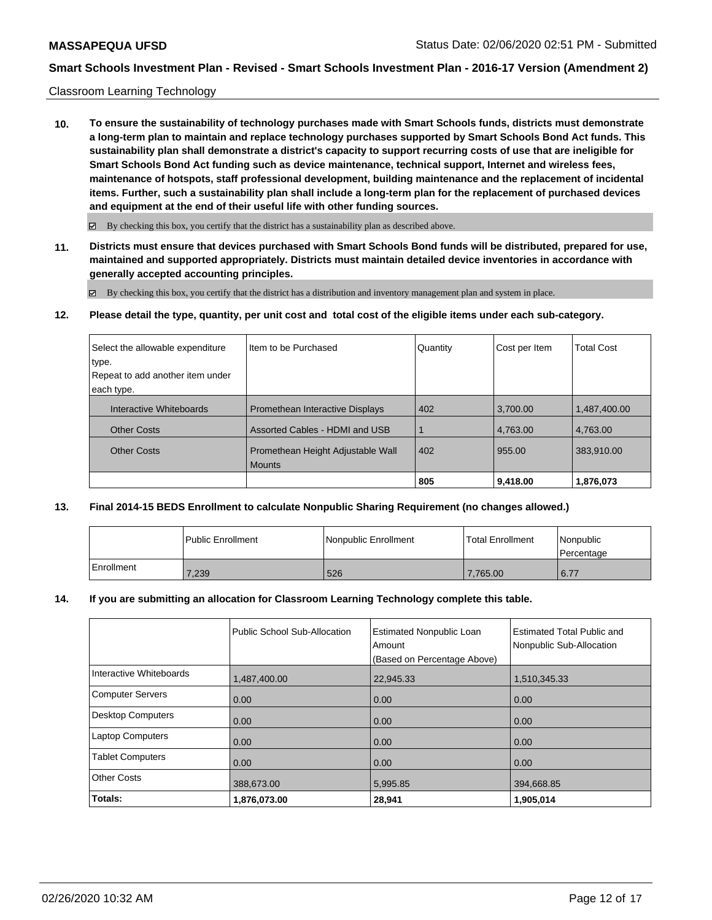#### Classroom Learning Technology

**10. To ensure the sustainability of technology purchases made with Smart Schools funds, districts must demonstrate a long-term plan to maintain and replace technology purchases supported by Smart Schools Bond Act funds. This sustainability plan shall demonstrate a district's capacity to support recurring costs of use that are ineligible for Smart Schools Bond Act funding such as device maintenance, technical support, Internet and wireless fees, maintenance of hotspots, staff professional development, building maintenance and the replacement of incidental items. Further, such a sustainability plan shall include a long-term plan for the replacement of purchased devices and equipment at the end of their useful life with other funding sources.**

 $\boxtimes$  By checking this box, you certify that the district has a sustainability plan as described above.

**11. Districts must ensure that devices purchased with Smart Schools Bond funds will be distributed, prepared for use, maintained and supported appropriately. Districts must maintain detailed device inventories in accordance with generally accepted accounting principles.**

By checking this box, you certify that the district has a distribution and inventory management plan and system in place.

**12. Please detail the type, quantity, per unit cost and total cost of the eligible items under each sub-category.**

| Select the allowable expenditure | Iltem to be Purchased                  | Quantity | Cost per Item | <b>Total Cost</b> |
|----------------------------------|----------------------------------------|----------|---------------|-------------------|
| type.                            |                                        |          |               |                   |
| Repeat to add another item under |                                        |          |               |                   |
| each type.                       |                                        |          |               |                   |
| Interactive Whiteboards          | <b>Promethean Interactive Displays</b> | 402      | 3,700.00      | 1,487,400.00      |
| <b>Other Costs</b>               | Assorted Cables - HDMI and USB         |          | 4,763.00      | 4,763.00          |
| <b>Other Costs</b>               | Promethean Height Adjustable Wall      | 402      | 955.00        | 383,910.00        |
|                                  | <b>Mounts</b>                          |          |               |                   |
|                                  |                                        | 805      | 9,418.00      | 1,876,073         |

#### **13. Final 2014-15 BEDS Enrollment to calculate Nonpublic Sharing Requirement (no changes allowed.)**

|            | l Public Enrollment | l Nonpublic Enrollment | <b>Total Enrollment</b> | <i>Nonpublic</i><br><b>Percentage</b> |
|------------|---------------------|------------------------|-------------------------|---------------------------------------|
| Enrollment | 7,239               | 526                    | 7.765.00                | 6.77                                  |

#### **14. If you are submitting an allocation for Classroom Learning Technology complete this table.**

|                         | Public School Sub-Allocation | <b>Estimated Nonpublic Loan</b><br>Amount | <b>Estimated Total Public and</b><br>Nonpublic Sub-Allocation |
|-------------------------|------------------------------|-------------------------------------------|---------------------------------------------------------------|
|                         |                              | (Based on Percentage Above)               |                                                               |
| Interactive Whiteboards | 1,487,400.00                 | 22.945.33                                 | 1,510,345.33                                                  |
| Computer Servers        | 0.00                         | 0.00                                      | 0.00                                                          |
| Desktop Computers       | 0.00                         | 0.00                                      | 0.00                                                          |
| <b>Laptop Computers</b> | 0.00                         | 0.00                                      | 0.00                                                          |
| <b>Tablet Computers</b> | 0.00                         | 0.00                                      | 0.00                                                          |
| <b>Other Costs</b>      | 388,673.00                   | 5,995.85                                  | 394,668.85                                                    |
| Totals:                 | 1,876,073.00                 | 28,941                                    | 1,905,014                                                     |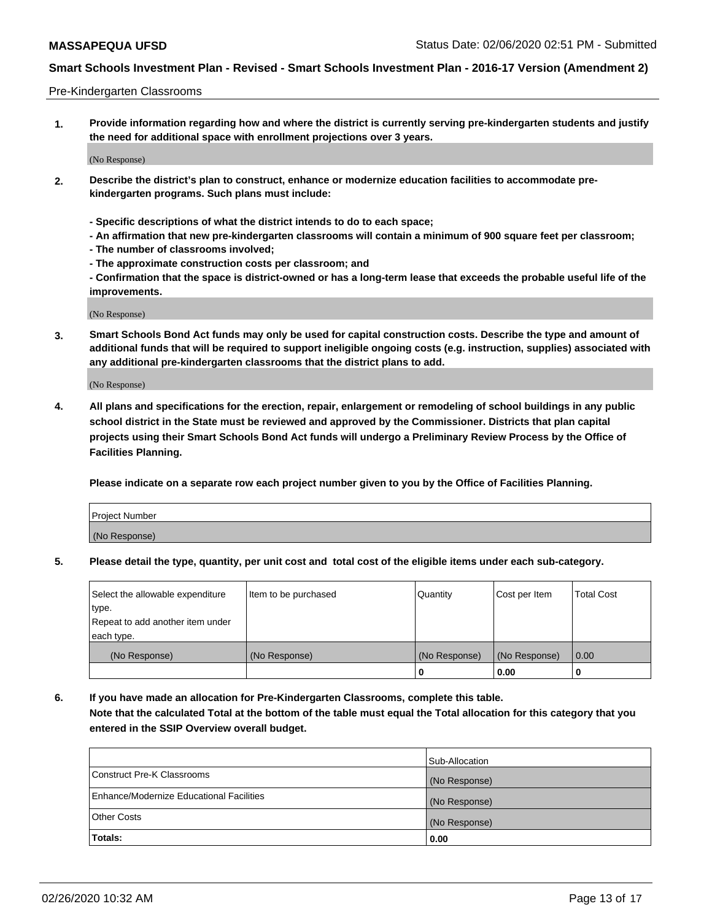#### Pre-Kindergarten Classrooms

**1. Provide information regarding how and where the district is currently serving pre-kindergarten students and justify the need for additional space with enrollment projections over 3 years.**

(No Response)

- **2. Describe the district's plan to construct, enhance or modernize education facilities to accommodate prekindergarten programs. Such plans must include:**
	- **Specific descriptions of what the district intends to do to each space;**
	- **An affirmation that new pre-kindergarten classrooms will contain a minimum of 900 square feet per classroom;**
	- **The number of classrooms involved;**
	- **The approximate construction costs per classroom; and**
	- **Confirmation that the space is district-owned or has a long-term lease that exceeds the probable useful life of the improvements.**

(No Response)

**3. Smart Schools Bond Act funds may only be used for capital construction costs. Describe the type and amount of additional funds that will be required to support ineligible ongoing costs (e.g. instruction, supplies) associated with any additional pre-kindergarten classrooms that the district plans to add.**

(No Response)

**4. All plans and specifications for the erection, repair, enlargement or remodeling of school buildings in any public school district in the State must be reviewed and approved by the Commissioner. Districts that plan capital projects using their Smart Schools Bond Act funds will undergo a Preliminary Review Process by the Office of Facilities Planning.**

**Please indicate on a separate row each project number given to you by the Office of Facilities Planning.**

| Project Number |  |
|----------------|--|
| (No Response)  |  |
|                |  |

**5. Please detail the type, quantity, per unit cost and total cost of the eligible items under each sub-category.**

| Select the allowable expenditure | Item to be purchased | Quantity      | Cost per Item | <b>Total Cost</b> |
|----------------------------------|----------------------|---------------|---------------|-------------------|
| type.                            |                      |               |               |                   |
| Repeat to add another item under |                      |               |               |                   |
| each type.                       |                      |               |               |                   |
| (No Response)                    | (No Response)        | (No Response) | (No Response) | 0.00              |
|                                  |                      | υ             | 0.00          |                   |

**6. If you have made an allocation for Pre-Kindergarten Classrooms, complete this table. Note that the calculated Total at the bottom of the table must equal the Total allocation for this category that you entered in the SSIP Overview overall budget.**

| Totals:                                  | 0.00           |
|------------------------------------------|----------------|
| <b>Other Costs</b>                       | (No Response)  |
| Enhance/Modernize Educational Facilities | (No Response)  |
| Construct Pre-K Classrooms               | (No Response)  |
|                                          | Sub-Allocation |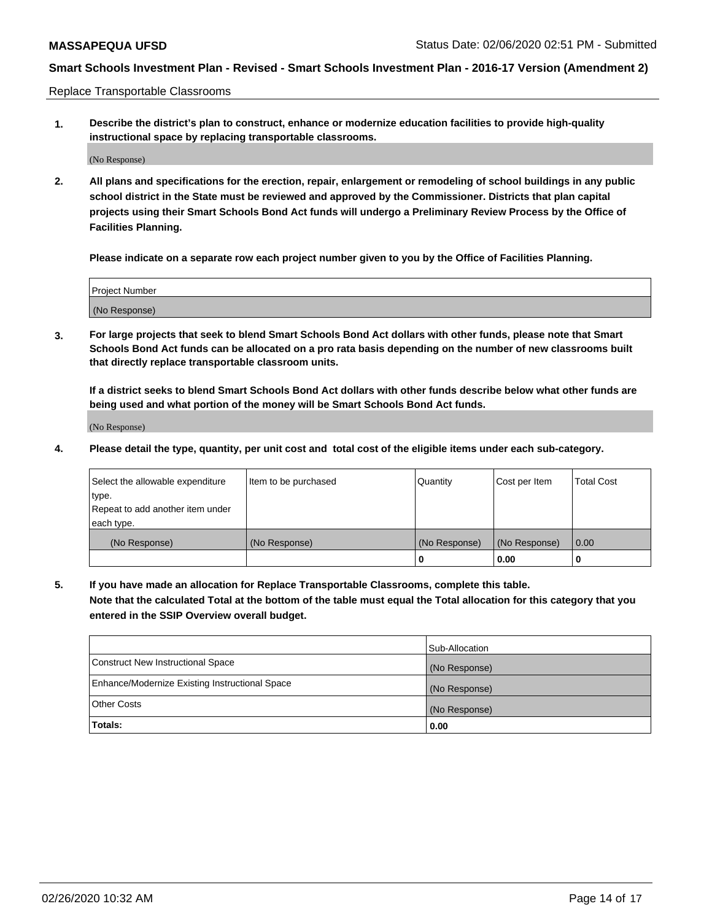Replace Transportable Classrooms

**1. Describe the district's plan to construct, enhance or modernize education facilities to provide high-quality instructional space by replacing transportable classrooms.**

(No Response)

**2. All plans and specifications for the erection, repair, enlargement or remodeling of school buildings in any public school district in the State must be reviewed and approved by the Commissioner. Districts that plan capital projects using their Smart Schools Bond Act funds will undergo a Preliminary Review Process by the Office of Facilities Planning.**

**Please indicate on a separate row each project number given to you by the Office of Facilities Planning.**

| Project Number |  |
|----------------|--|
|                |  |
|                |  |
|                |  |
| (No Response)  |  |
|                |  |
|                |  |

**3. For large projects that seek to blend Smart Schools Bond Act dollars with other funds, please note that Smart Schools Bond Act funds can be allocated on a pro rata basis depending on the number of new classrooms built that directly replace transportable classroom units.**

**If a district seeks to blend Smart Schools Bond Act dollars with other funds describe below what other funds are being used and what portion of the money will be Smart Schools Bond Act funds.**

(No Response)

**4. Please detail the type, quantity, per unit cost and total cost of the eligible items under each sub-category.**

| Select the allowable expenditure<br>∣type.     | Item to be purchased | Quantity      | Cost per Item | Total Cost |
|------------------------------------------------|----------------------|---------------|---------------|------------|
| Repeat to add another item under<br>each type. |                      |               |               |            |
| (No Response)                                  | (No Response)        | (No Response) | (No Response) | 0.00       |
|                                                |                      | u             | 0.00          |            |

**5. If you have made an allocation for Replace Transportable Classrooms, complete this table. Note that the calculated Total at the bottom of the table must equal the Total allocation for this category that you entered in the SSIP Overview overall budget.**

|                                                | Sub-Allocation |
|------------------------------------------------|----------------|
| Construct New Instructional Space              | (No Response)  |
| Enhance/Modernize Existing Instructional Space | (No Response)  |
| <b>Other Costs</b>                             | (No Response)  |
| Totals:                                        | 0.00           |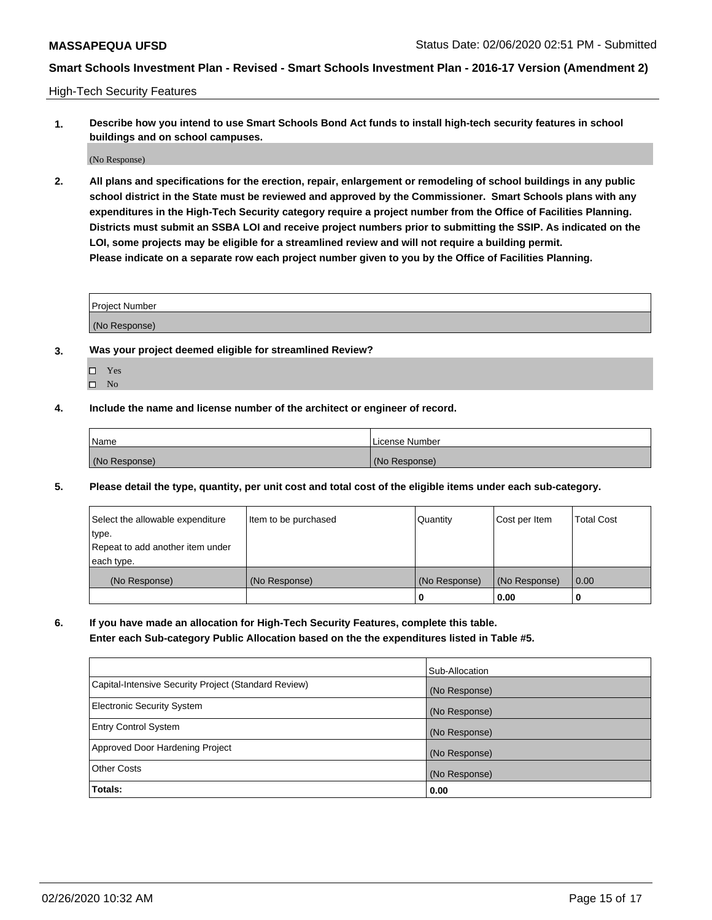High-Tech Security Features

**1. Describe how you intend to use Smart Schools Bond Act funds to install high-tech security features in school buildings and on school campuses.**

(No Response)

**2. All plans and specifications for the erection, repair, enlargement or remodeling of school buildings in any public school district in the State must be reviewed and approved by the Commissioner. Smart Schools plans with any expenditures in the High-Tech Security category require a project number from the Office of Facilities Planning. Districts must submit an SSBA LOI and receive project numbers prior to submitting the SSIP. As indicated on the LOI, some projects may be eligible for a streamlined review and will not require a building permit. Please indicate on a separate row each project number given to you by the Office of Facilities Planning.**

| <b>Project Number</b> |  |
|-----------------------|--|
| (No Response)         |  |

- **3. Was your project deemed eligible for streamlined Review?**
	- Yes
	- $\hfill \square$  No
- **4. Include the name and license number of the architect or engineer of record.**

| <b>Name</b>   | License Number |
|---------------|----------------|
| (No Response) | (No Response)  |

**5. Please detail the type, quantity, per unit cost and total cost of the eligible items under each sub-category.**

| Select the allowable expenditure | Item to be purchased | Quantity      | Cost per Item | <b>Total Cost</b> |
|----------------------------------|----------------------|---------------|---------------|-------------------|
| ∣type.                           |                      |               |               |                   |
| Repeat to add another item under |                      |               |               |                   |
| each type.                       |                      |               |               |                   |
| (No Response)                    | (No Response)        | (No Response) | (No Response) | 0.00              |
|                                  |                      | 0             | 0.00          |                   |

**6. If you have made an allocation for High-Tech Security Features, complete this table.**

**Enter each Sub-category Public Allocation based on the the expenditures listed in Table #5.**

|                                                      | Sub-Allocation |
|------------------------------------------------------|----------------|
| Capital-Intensive Security Project (Standard Review) | (No Response)  |
| <b>Electronic Security System</b>                    | (No Response)  |
| <b>Entry Control System</b>                          | (No Response)  |
| Approved Door Hardening Project                      | (No Response)  |
| <b>Other Costs</b>                                   | (No Response)  |
| Totals:                                              | 0.00           |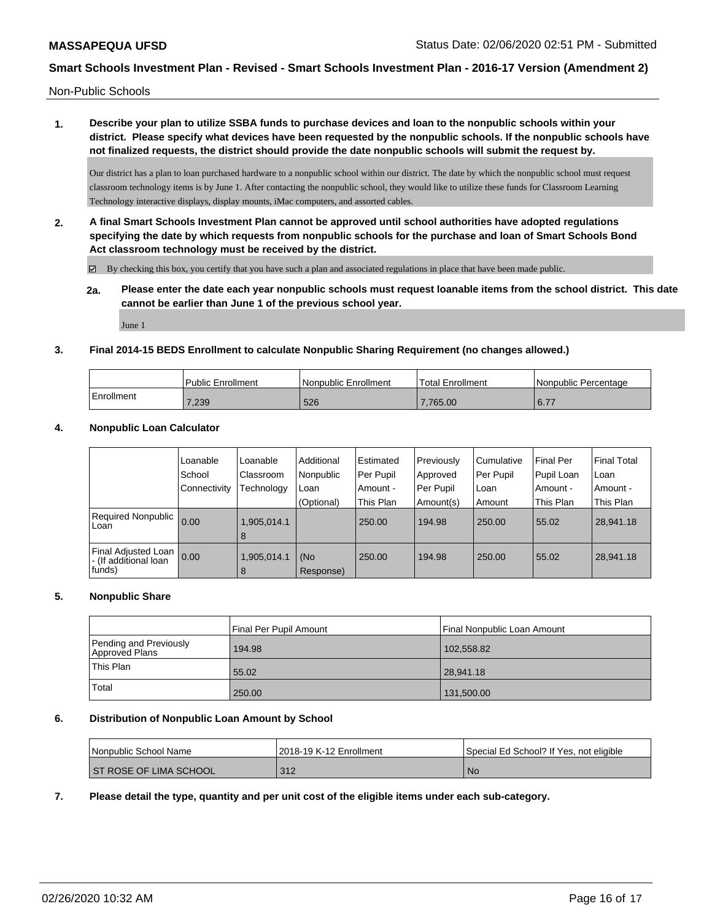Non-Public Schools

**1. Describe your plan to utilize SSBA funds to purchase devices and loan to the nonpublic schools within your district. Please specify what devices have been requested by the nonpublic schools. If the nonpublic schools have not finalized requests, the district should provide the date nonpublic schools will submit the request by.**

Our district has a plan to loan purchased hardware to a nonpublic school within our district. The date by which the nonpublic school must request classroom technology items is by June 1. After contacting the nonpublic school, they would like to utilize these funds for Classroom Learning Technology interactive displays, display mounts, iMac computers, and assorted cables.

**2. A final Smart Schools Investment Plan cannot be approved until school authorities have adopted regulations specifying the date by which requests from nonpublic schools for the purchase and loan of Smart Schools Bond Act classroom technology must be received by the district.**

By checking this box, you certify that you have such a plan and associated regulations in place that have been made public.

**2a. Please enter the date each year nonpublic schools must request loanable items from the school district. This date cannot be earlier than June 1 of the previous school year.**

June 1

#### **3. Final 2014-15 BEDS Enrollment to calculate Nonpublic Sharing Requirement (no changes allowed.)**

|            | <b>Public Enrollment</b> | l Nonpublic Enrollment | Total Enrollment | Nonpublic Percentage |
|------------|--------------------------|------------------------|------------------|----------------------|
| Enrollment | 7,239                    | 526                    | 7.765.00         | 16.77                |

#### **4. Nonpublic Loan Calculator**

|                                                        | Loanable<br>School | Loanable<br>Classroom | Additional<br>Nonpublic | Estimated<br>Per Pupil | Previously<br>Approved | Cumulative<br>Per Pupil | <b>Final Per</b><br>Pupil Loan | Final Total<br>l Loan |
|--------------------------------------------------------|--------------------|-----------------------|-------------------------|------------------------|------------------------|-------------------------|--------------------------------|-----------------------|
|                                                        | Connectivity       | Technology            | Loan                    | Amount -               | Per Pupil              | Loan                    | Amount -                       | Amount -              |
|                                                        |                    |                       | (Optional)              | This Plan              | Amount(s)              | Amount                  | This Plan                      | This Plan             |
| Required Nonpublic  <br>Loan                           | 0.00               | 1,905,014.1<br>8      |                         | 250.00                 | 194.98                 | 250.00                  | 55.02                          | 28,941.18             |
| Final Adjusted Loan<br>- (If additional loan<br>funds) | 0.00               | 1.905.014.1<br>8      | (No<br>Response)        | 250.00                 | 194.98                 | 250.00                  | 55.02                          | 28,941.18             |

#### **5. Nonpublic Share**

|                                          | Final Per Pupil Amount | Final Nonpublic Loan Amount |
|------------------------------------------|------------------------|-----------------------------|
| Pending and Previously<br>Approved Plans | 194.98                 | 102,558.82                  |
| This Plan                                | 55.02                  | 28,941.18                   |
| Total                                    | 250.00                 | 131,500.00                  |

#### **6. Distribution of Nonpublic Loan Amount by School**

| <b>Nonpublic School Name</b>  | 2018-19 K-12 Enrollment | Special Ed School? If Yes, not eligible |
|-------------------------------|-------------------------|-----------------------------------------|
| <b>ST ROSE OF LIMA SCHOOL</b> | 312                     | <b>No</b>                               |

#### **7. Please detail the type, quantity and per unit cost of the eligible items under each sub-category.**